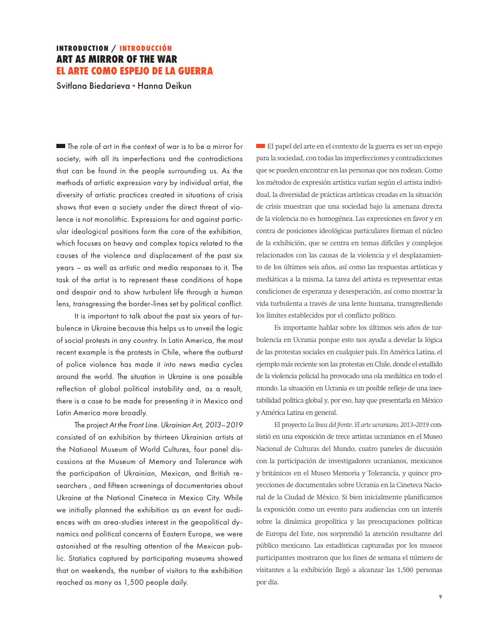## **INTRODUCTION / INTRODUCCIÓN ART AS MIRROR OF THE WAR EL ARTE COMO ESPEJO DE LA GUERRA**

Svitlana Biedarieva **·** Hanna Deikun

The role of art in the context of war is to be a mirror for society, with all its imperfections and the contradictions that can be found in the people surrounding us. As the methods of artistic expression vary by individual artist, the diversity of artistic practices created in situations of crisis shows that even a society under the direct threat of violence is not monolithic. Expressions for and against particular ideological positions form the core of the exhibition, which focuses on heavy and complex topics related to the causes of the violence and displacement of the past six years – as well as artistic and media responses to it. The task of the artist is to represent these conditions of hope and despair and to show turbulent life through a human lens, transgressing the border-lines set by political conflict.

It is important to talk about the past six years of turbulence in Ukraine because this helps us to unveil the logic of social protests in any country. In Latin America, the most recent example is the protests in Chile, where the outburst of police violence has made it into news media cycles around the world. The situation in Ukraine is one possible reflection of global political instability and, as a result, there is a case to be made for presenting it in Mexico and Latin America more broadly.

The project *At the Front Line. Ukrainian Art, 2013–2019* consisted of an exhibition by thirteen Ukrainian artists at the National Museum of World Cultures, four panel discussions at the Museum of Memory and Tolerance with the participation of Ukrainian, Mexican, and British researchers , and fifteen screenings of documentaries about Ukraine at the National Cineteca in Mexico City. While we initially planned the exhibition as an event for audiences with an area-studies interest in the geopolitical dynamics and political concerns of Eastern Europe, we were astonished at the resulting attention of the Mexican public. Statistics captured by participating museums showed that on weekends, the number of visitors to the exhibition reached as many as 1,500 people daily.

El papel del arte en el contexto de la guerra es ser un espejo para la sociedad, con todas las imperfecciones y contradicciones que se pueden encontrar en las personas que nos rodean. Como los métodos de expresión artística varían según el artista individual, la diversidad de prácticas artísticas creadas en la situación de crisis muestran que una sociedad bajo la amenaza directa de la violencia no es homogénea. Las expresiones en favor y en contra de posiciones ideológicas particulares forman el núcleo de la exhibición, que se centra en temas difíciles y complejos relacionados con las causas de la violencia y el desplazamiento de los últimos seis años, así como las respuestas artísticas y mediáticas a la misma. La tarea del artista es representar estas condiciones de esperanza y desesperación, así como mostrar la vida turbulenta a través de una lente humana, transgrediendo los límites establecidos por el conflicto político.

Es importante hablar sobre los últimos seis años de turbulencia en Ucrania porque esto nos ayuda a develar la lógica de las protestas sociales en cualquier país. En América Latina, el ejemplo más reciente son las protestas en Chile, donde el estallido de la violencia policial ha provocado una ola mediática en todo el mundo. La situación en Ucrania es un posible reflejo de una inestabilidad política global y, por eso, hay que presentarla en México y América Latina en general.

El proyecto *La línea del frente*. *El arte ucraniano, 2013–2019* consistió en una exposición de trece artistas ucranianos en el Museo Nacional de Culturas del Mundo, cuatro paneles de discusión con la participación de investigadores ucranianos, mexicanos y británicos en el Museo Memoria y Tolerancia, y quince proyecciones de documentales sobre Ucrania en la Cineteca Nacional de la Ciudad de México. Si bien inicialmente planificamos la exposición como un evento para audiencias con un interés sobre la dinámica geopolítica y las preocupaciones políticas de Europa del Este, nos sorprendió la atención resultante del público mexicano. Las estadísticas capturadas por los museos participantes mostraron que los fines de semana el número de visitantes a la exhibición llegó a alcanzar las 1,500 personas por día.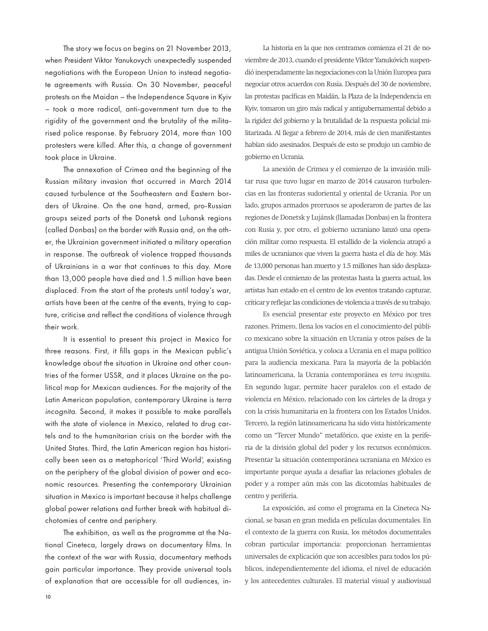The story we focus on begins on 21 November 2013, when President Viktor Yanukovych unexpectedly suspended negotiations with the European Union to instead negotiate agreements with Russia. On 30 November, peaceful protests on the Maidan – the Independence Square in Kyiv – took a more radical, anti-government turn due to the rigidity of the government and the brutality of the militarised police response. By February 2014, more than 100 protesters were killed. After this, a change of government took place in Ukraine.

The annexation of Crimea and the beginning of the Russian military invasion that occurred in March 2014 caused turbulence at the Southeastern and Eastern borders of Ukraine. On the one hand, armed, pro-Russian groups seized parts of the Donetsk and Luhansk regions (called Donbas) on the border with Russia and, on the other, the Ukrainian government initiated a military operation in response. The outbreak of violence trapped thousands of Ukrainians in a war that continues to this day. More than 13,000 people have died and 1.5 million have been displaced. From the start of the protests until today's war, artists have been at the centre of the events, trying to capture, criticise and reflect the conditions of violence through their work.

It is essential to present this project in Mexico for three reasons. First, it fills gaps in the Mexican public's knowledge about the situation in Ukraine and other countries of the former USSR, and it places Ukraine on the political map for Mexican audiences. For the majority of the Latin American population, contemporary Ukraine is *terra incognita*. Second, it makes it possible to make parallels with the state of violence in Mexico, related to drug cartels and to the humanitarian crisis on the border with the United States. Third, the Latin American region has historically been seen as a metaphorical 'Third World', existing on the periphery of the global division of power and economic resources. Presenting the contemporary Ukrainian situation in Mexico is important because it helps challenge global power relations and further break with habitual dichotomies of centre and periphery.

The exhibition, as well as the programme at the National Cineteca, largely draws on documentary films. In the context of the war with Russia, documentary methods gain particular importance. They provide universal tools of explanation that are accessible for all audiences, in-

La historia en la que nos centramos comienza el 21 de noviembre de 2013, cuando el presidente Víktor Yanukóvich suspendió inesperadamente las negociaciones con la Unión Europea para negociar otros acuerdos con Rusia. Después del 30 de noviembre, las protestas pacíficas en Maidán, la Plaza de la Independencia en Kyiv, tomaron un giro más radical y antigubernamental debido a la rigidez del gobierno y la brutalidad de la respuesta policial militarizada. Al llegar a febrero de 2014, más de cien manifestantes habían sido asesinados. Después de esto se produjo un cambio de gobierno en Ucrania.

La anexión de Crimea y el comienzo de la invasión militar rusa que tuvo lugar en marzo de 2014 causaron turbulencias en las fronteras sudoriental y oriental de Ucrania. Por un lado, grupos armados prorrusos se apoderaron de partes de las regiones de Donetsk y Lujánsk (llamadas Donbas) en la frontera con Rusia y, por otro, el gobierno ucraniano lanzó una operación militar como respuesta. El estallido de la violencia atrapó a miles de ucranianos que viven la guerra hasta el día de hoy. Más de 13,000 personas han muerto y 1.5 millones han sido desplazadas. Desde el comienzo de las protestas hasta la guerra actual, los artistas han estado en el centro de los eventos tratando capturar, criticar y reflejar las condiciones de violencia a través de su trabajo.

Es esencial presentar este proyecto en México por tres razones. Primero, llena los vacíos en el conocimiento del público mexicano sobre la situación en Ucrania y otros países de la antigua Unión Soviética, y coloca a Ucrania en el mapa político para la audiencia mexicana. Para la mayoría de la población latinoamericana, la Ucrania contemporánea es *terra incognita*. En segundo lugar, permite hacer paralelos con el estado de violencia en México, relacionado con los cárteles de la droga y con la crisis humanitaria en la frontera con los Estados Unidos. Tercero, la región latinoamericana ha sido vista históricamente como un "Tercer Mundo" metafórico, que existe en la periferia de la división global del poder y los recursos económicos. Presentar la situación contemporánea ucraniana en México es importante porque ayuda a desafiar las relaciones globales de poder y a romper aún más con las dicotomías habituales de centro y periferia.

La exposición, así como el programa en la Cineteca Nacional, se basan en gran medida en películas documentales. En el contexto de la guerra con Rusia, los métodos documentales cobran particular importancia: proporcionan herramientas universales de explicación que son accesibles para todos los públicos, independientemente del idioma, el nivel de educación y los antecedentes culturales. El material visual y audiovisual